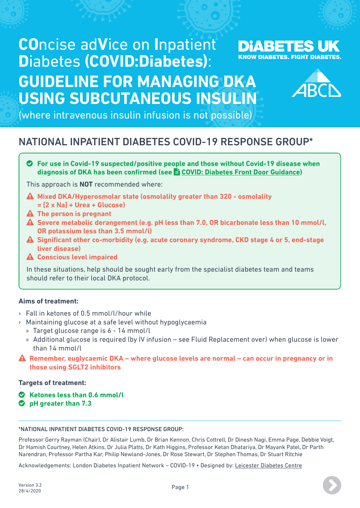# **CO**ncise ad**V**ice on **I**npatient **D**iabetes **(COVID:Diabetes)**: **GUIDELINE FOR MANAGING DKA USING SUBCUTANEOUS INSULIN**





(where intravenous insulin infusion is not possible)

# NATIONAL INPATIENT DIABETES COVID-19 RESPONSE GROUP\*

o **For use in Covid-19 suspected/positive people and those without Covid-19 disease when diagnosis of DKA has been confirmed (see**  $\triangle$  **[COVID: Diabetes Front Door Guidance](https://abcd.care/resource/concise-advice-inpatient-diabetes-during-covid19-front-door-guidance))** 

This approach is **NOT** recommended where:

- **Mixed DKA/Hyperosmolar state (osmolality greater than 320 osmolality = [2 x Na] + Urea + Glucose)**
- **The person is pregnant**
- **Severe metabolic derangement (e.g. pH less than 7.0, OR bicarbonate less than 10 mmol/l, OR potassium less than 3.5 mmol/l)**
- **Significant other co-morbidity (e.g. acute coronary syndrome, CKD stage 4 or 5, end-stage liver disease)**
- **Conscious level impaired**

In these situations, help should be sought early from the specialist diabetes team and teams should refer to their local DKA protocol.

# **Aims of treatment:**

- › Fall in ketones of 0.5 mmol/l/hour while
- › Maintaining glucose at a safe level without hypoglycaemia
	- » Target glucose range is 6 14 mmol/l
	- » Additional glucose is required (by IV infusion see Fluid Replacement over) when glucose is lower than 14 mmol/l
- **Remember, euglycaemic DKA where glucose levels are normal can occur in pregnancy or in those using SGLT2 inhibitors**

# **Targets of treatment:**

- o **Ketones less than 0.6 mmol/l**
- o **pH greater than 7.3**

#### \*NATIONAL INPATIENT DIABETES COVID-19 RESPONSE GROUP:

Professor Gerry Rayman (Chair), Dr Alistair Lumb, Dr Brian Kennon, Chris Cottrell, Dr Dinesh Nagi, Emma Page, Debbie Voigt, Dr Hamish Courtney, Helen Atkins, Dr Julia Platts, Dr Kath Higgins, Professor Ketan Dhatariya, Dr Mayank Patel, Dr Parth Narendran, Professor Partha Kar, Philip Newland-Jones, Dr Rose Stewart, Dr Stephen Thomas, Dr Stuart Ritchie

Acknowledgements: London Diabetes Inpatient Network – COVID-19 • Designed by: [Leicester Diabetes Centre](http://leicesterdiabetescentre.org.uk)